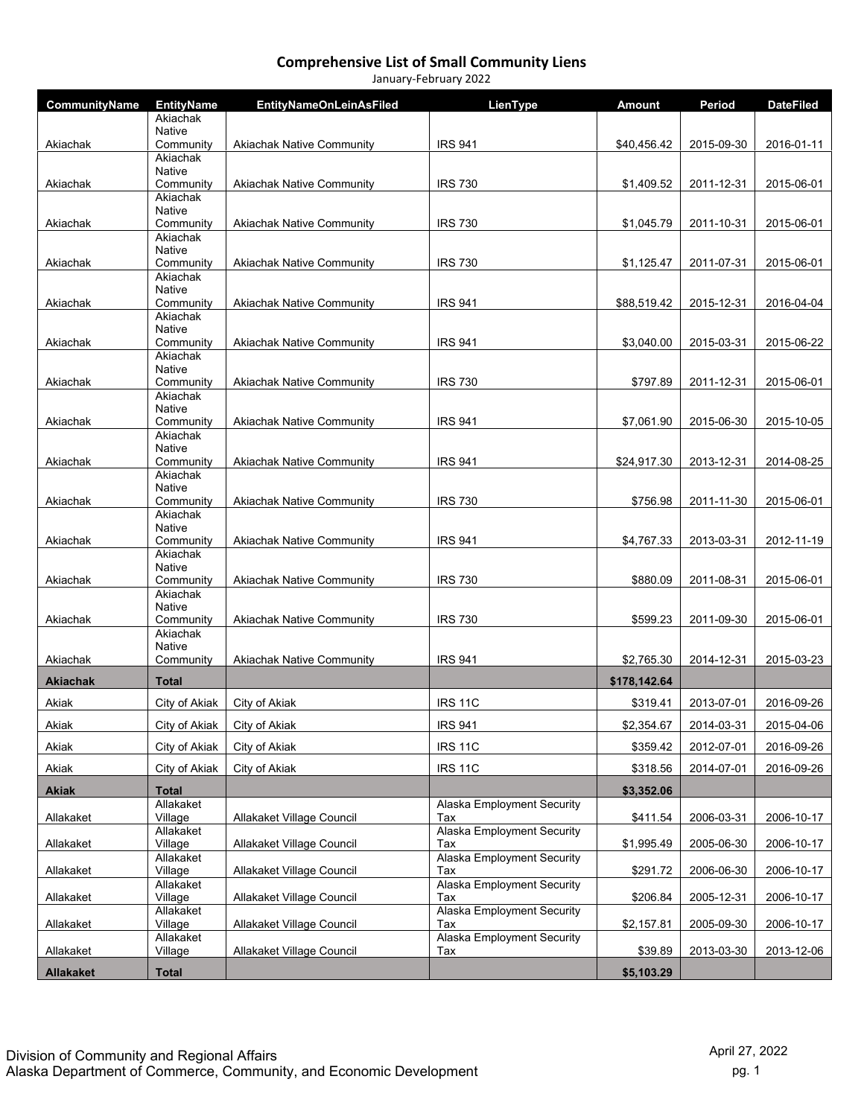| CommunityName    | <b>EntityName</b>          | <b>EntityNameOnLeinAsFiled</b>   | LienType                          | <b>Amount</b> | Period     | <b>DateFiled</b> |
|------------------|----------------------------|----------------------------------|-----------------------------------|---------------|------------|------------------|
|                  | Akiachak<br>Native         |                                  |                                   |               |            |                  |
| Akiachak         | Community                  | <b>Akiachak Native Community</b> | <b>IRS 941</b>                    | \$40,456.42   | 2015-09-30 | 2016-01-11       |
|                  | Akiachak                   |                                  |                                   |               |            |                  |
| Akiachak         | Native<br>Community        | <b>Akiachak Native Community</b> | <b>IRS 730</b>                    | \$1,409.52    | 2011-12-31 | 2015-06-01       |
|                  | Akiachak                   |                                  |                                   |               |            |                  |
| Akiachak         | Native<br>Community        | <b>Akiachak Native Community</b> | <b>IRS 730</b>                    | \$1,045.79    | 2011-10-31 | 2015-06-01       |
|                  | Akiachak                   |                                  |                                   |               |            |                  |
| Akiachak         | <b>Native</b><br>Community | <b>Akiachak Native Community</b> | <b>IRS 730</b>                    | \$1,125.47    | 2011-07-31 | 2015-06-01       |
|                  | Akiachak                   |                                  |                                   |               |            |                  |
| Akiachak         | Native<br>Community        | <b>Akiachak Native Community</b> | <b>IRS 941</b>                    | \$88,519.42   | 2015-12-31 | 2016-04-04       |
|                  | Akiachak                   |                                  |                                   |               |            |                  |
| Akiachak         | Native<br>Community        | <b>Akiachak Native Community</b> | <b>IRS 941</b>                    | \$3,040.00    | 2015-03-31 | 2015-06-22       |
|                  | Akiachak                   |                                  |                                   |               |            |                  |
|                  | Native<br>Community        | <b>Akiachak Native Community</b> |                                   |               |            |                  |
| Akiachak         | Akiachak                   |                                  | <b>IRS 730</b>                    | \$797.89      | 2011-12-31 | 2015-06-01       |
|                  | Native                     |                                  |                                   |               |            |                  |
| Akiachak         | Community<br>Akiachak      | <b>Akiachak Native Community</b> | <b>IRS 941</b>                    | \$7,061.90    | 2015-06-30 | 2015-10-05       |
|                  | Native                     |                                  |                                   |               |            |                  |
| Akiachak         | Community<br>Akiachak      | <b>Akiachak Native Community</b> | <b>IRS 941</b>                    | \$24,917.30   | 2013-12-31 | 2014-08-25       |
|                  | Native                     |                                  |                                   |               |            |                  |
| Akiachak         | Community<br>Akiachak      | <b>Akiachak Native Community</b> | <b>IRS 730</b>                    | \$756.98      | 2011-11-30 | 2015-06-01       |
|                  | Native                     |                                  |                                   |               |            |                  |
| Akiachak         | Community                  | <b>Akiachak Native Community</b> | <b>IRS 941</b>                    | \$4,767.33    | 2013-03-31 | 2012-11-19       |
|                  | Akiachak<br>Native         |                                  |                                   |               |            |                  |
| Akiachak         | Community                  | <b>Akiachak Native Community</b> | <b>IRS 730</b>                    | \$880.09      | 2011-08-31 | 2015-06-01       |
|                  | Akiachak<br>Native         |                                  |                                   |               |            |                  |
| Akiachak         | Community                  | <b>Akiachak Native Community</b> | <b>IRS 730</b>                    | \$599.23      | 2011-09-30 | 2015-06-01       |
|                  | Akiachak<br><b>Native</b>  |                                  |                                   |               |            |                  |
| Akiachak         | Community                  | <b>Akiachak Native Community</b> | <b>IRS 941</b>                    | \$2,765.30    | 2014-12-31 | 2015-03-23       |
| <b>Akiachak</b>  | <b>Total</b>               |                                  |                                   | \$178,142.64  |            |                  |
| Akiak            | City of Akiak              | City of Akiak                    | <b>IRS 11C</b>                    | \$319.41      | 2013-07-01 | 2016-09-26       |
| Akiak            | City of Akiak              | City of Akiak                    | <b>IRS 941</b>                    | \$2,354.67    | 2014-03-31 | 2015-04-06       |
| Akiak            | City of Akiak              | City of Akiak                    | <b>IRS 11C</b>                    | \$359.42      | 2012-07-01 | 2016-09-26       |
| Akiak            | City of Akiak              | City of Akiak                    | <b>IRS 11C</b>                    |               | 2014-07-01 | 2016-09-26       |
|                  |                            |                                  |                                   | \$318.56      |            |                  |
| <b>Akiak</b>     | <b>Total</b><br>Allakaket  |                                  | Alaska Employment Security        | \$3,352.06    |            |                  |
| Allakaket        | Village                    | Allakaket Village Council        | Tax                               | \$411.54      | 2006-03-31 | 2006-10-17       |
| Allakaket        | Allakaket<br>Village       | Allakaket Village Council        | Alaska Employment Security<br>Tax | \$1,995.49    | 2005-06-30 | 2006-10-17       |
|                  | Allakaket                  |                                  | Alaska Employment Security        |               |            |                  |
| Allakaket        | Village<br>Allakaket       | Allakaket Village Council        | Tax<br>Alaska Employment Security | \$291.72      | 2006-06-30 | 2006-10-17       |
| Allakaket        | Village                    | Allakaket Village Council        | Tax                               | \$206.84      | 2005-12-31 | 2006-10-17       |
|                  | Allakaket                  |                                  | Alaska Employment Security        |               |            |                  |
| Allakaket        | Village<br>Allakaket       | Allakaket Village Council        | Tax<br>Alaska Employment Security | \$2,157.81    | 2005-09-30 | 2006-10-17       |
| Allakaket        | Village                    | Allakaket Village Council        | Tax                               | \$39.89       | 2013-03-30 | 2013-12-06       |
| <b>Allakaket</b> | <b>Total</b>               |                                  |                                   | \$5,103.29    |            |                  |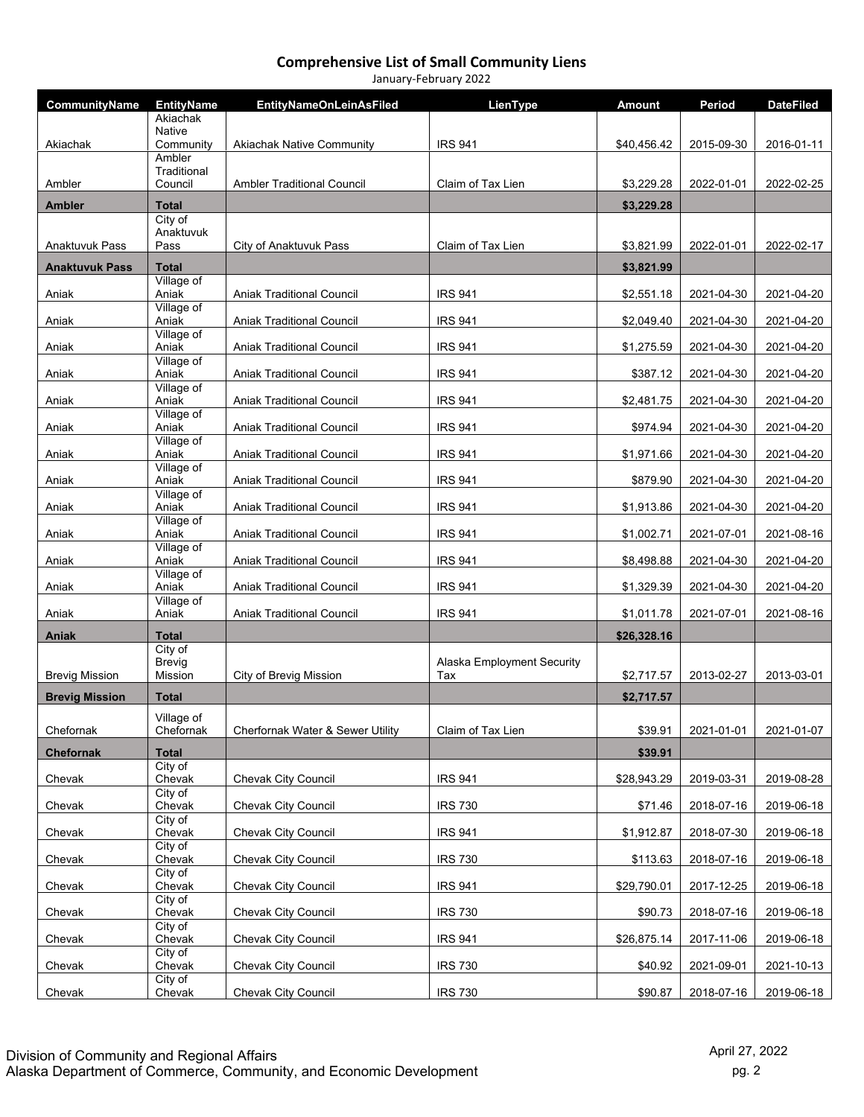| CommunityName         | <b>EntityName</b>                   | <b>EntityNameOnLeinAsFiled</b>    | LienType                          | <b>Amount</b> | Period     | <b>DateFiled</b> |
|-----------------------|-------------------------------------|-----------------------------------|-----------------------------------|---------------|------------|------------------|
|                       | Akiachak<br><b>Native</b>           |                                   |                                   |               |            |                  |
| Akiachak              | Community                           | <b>Akiachak Native Community</b>  | <b>IRS 941</b>                    | \$40,456.42   | 2015-09-30 | 2016-01-11       |
|                       | Ambler<br>Traditional               |                                   |                                   |               |            |                  |
| Ambler                | Council                             | <b>Ambler Traditional Council</b> | Claim of Tax Lien                 | \$3,229.28    | 2022-01-01 | 2022-02-25       |
| <b>Ambler</b>         | <b>Total</b><br>City of             |                                   |                                   | \$3,229.28    |            |                  |
|                       | Anaktuvuk                           |                                   |                                   |               |            |                  |
| <b>Anaktuvuk Pass</b> | Pass                                | City of Anaktuvuk Pass            | Claim of Tax Lien                 | \$3,821.99    | 2022-01-01 | 2022-02-17       |
| <b>Anaktuvuk Pass</b> | <b>Total</b><br>Village of          |                                   |                                   | \$3,821.99    |            |                  |
| Aniak                 | Aniak<br>Village of                 | <b>Aniak Traditional Council</b>  | <b>IRS 941</b>                    | \$2,551.18    | 2021-04-30 | 2021-04-20       |
| Aniak                 | Aniak                               | <b>Aniak Traditional Council</b>  | <b>IRS 941</b>                    | \$2,049.40    | 2021-04-30 | 2021-04-20       |
| Aniak                 | Village of<br>Aniak                 | <b>Aniak Traditional Council</b>  | <b>IRS 941</b>                    | \$1,275.59    | 2021-04-30 | 2021-04-20       |
| Aniak                 | Village of<br>Aniak                 | <b>Aniak Traditional Council</b>  | <b>IRS 941</b>                    | \$387.12      | 2021-04-30 | 2021-04-20       |
| Aniak                 | Village of<br>Aniak                 | Aniak Traditional Council         | <b>IRS 941</b>                    | \$2,481.75    | 2021-04-30 | 2021-04-20       |
|                       | Village of                          |                                   |                                   |               |            |                  |
| Aniak                 | Aniak<br>Village of                 | <b>Aniak Traditional Council</b>  | <b>IRS 941</b>                    | \$974.94      | 2021-04-30 | 2021-04-20       |
| Aniak                 | Aniak<br>Village of                 | <b>Aniak Traditional Council</b>  | <b>IRS 941</b>                    | \$1,971.66    | 2021-04-30 | 2021-04-20       |
| Aniak                 | Aniak<br>Village of                 | <b>Aniak Traditional Council</b>  | <b>IRS 941</b>                    | \$879.90      | 2021-04-30 | 2021-04-20       |
| Aniak                 | Aniak                               | <b>Aniak Traditional Council</b>  | <b>IRS 941</b>                    | \$1,913.86    | 2021-04-30 | 2021-04-20       |
| Aniak                 | Village of<br>Aniak                 | Aniak Traditional Council         | <b>IRS 941</b>                    | \$1,002.71    | 2021-07-01 | 2021-08-16       |
| Aniak                 | Village of<br>Aniak                 | <b>Aniak Traditional Council</b>  | <b>IRS 941</b>                    | \$8,498.88    | 2021-04-30 | 2021-04-20       |
| Aniak                 | Village of<br>Aniak                 | <b>Aniak Traditional Council</b>  | <b>IRS 941</b>                    | \$1,329.39    | 2021-04-30 | 2021-04-20       |
| Aniak                 | Village of<br>Aniak                 | <b>Aniak Traditional Council</b>  | <b>IRS 941</b>                    | \$1,011.78    | 2021-07-01 | 2021-08-16       |
| Aniak                 | <b>Total</b>                        |                                   |                                   | \$26,328.16   |            |                  |
| <b>Brevig Mission</b> | City of<br><b>Brevig</b><br>Mission | City of Brevig Mission            | Alaska Employment Security<br>Tax | \$2,717.57    | 2013-02-27 | 2013-03-01       |
| <b>Brevig Mission</b> | <b>Total</b>                        |                                   |                                   | \$2,717.57    |            |                  |
| Chefornak             | Village of<br>Chefornak             | Cherfornak Water & Sewer Utility  | Claim of Tax Lien                 | \$39.91       | 2021-01-01 | 2021-01-07       |
| Chefornak             | <b>Total</b>                        |                                   |                                   | \$39.91       |            |                  |
| Chevak                | City of<br>Chevak                   | <b>Chevak City Council</b>        | <b>IRS 941</b>                    | \$28,943.29   | 2019-03-31 | 2019-08-28       |
| Chevak                | City of<br>Chevak                   | Chevak City Council               | <b>IRS 730</b>                    | \$71.46       | 2018-07-16 | 2019-06-18       |
| Chevak                | City of<br>Chevak                   | Chevak City Council               | <b>IRS 941</b>                    | \$1,912.87    | 2018-07-30 | 2019-06-18       |
| Chevak                | $\overline{City}$ of<br>Chevak      | Chevak City Council               | <b>IRS 730</b>                    | \$113.63      | 2018-07-16 | 2019-06-18       |
| Chevak                | City of<br>Chevak                   | Chevak City Council               | <b>IRS 941</b>                    | \$29,790.01   | 2017-12-25 | 2019-06-18       |
| Chevak                | City of<br>Chevak                   | Chevak City Council               | <b>IRS 730</b>                    | \$90.73       | 2018-07-16 | 2019-06-18       |
| Chevak                | City of<br>Chevak                   | Chevak City Council               | <b>IRS 941</b>                    | \$26,875.14   | 2017-11-06 | 2019-06-18       |
| Chevak                | City of<br>Chevak                   | Chevak City Council               | <b>IRS 730</b>                    | \$40.92       | 2021-09-01 | 2021-10-13       |
|                       | City of                             |                                   |                                   |               |            |                  |
| Chevak                | Chevak                              | Chevak City Council               | <b>IRS 730</b>                    | \$90.87       | 2018-07-16 | 2019-06-18       |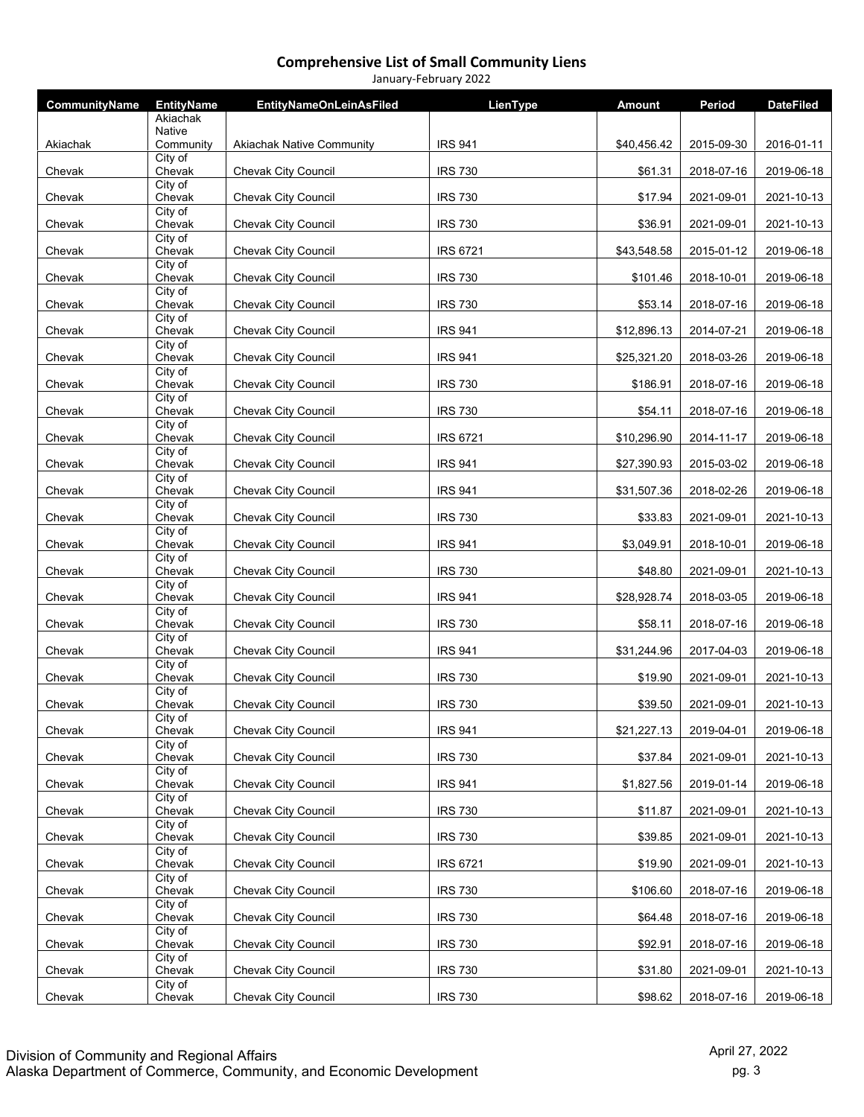| CommunityName | <b>EntityName</b>              | <b>EntityNameOnLeinAsFiled</b>   | LienType        | <b>Amount</b> | Period     | <b>DateFiled</b> |
|---------------|--------------------------------|----------------------------------|-----------------|---------------|------------|------------------|
|               | Akiachak<br><b>Native</b>      |                                  |                 |               |            |                  |
| Akiachak      | Community                      | <b>Akiachak Native Community</b> | <b>IRS 941</b>  | \$40,456.42   | 2015-09-30 | 2016-01-11       |
| Chevak        | City of<br>Chevak              | Chevak City Council              | <b>IRS 730</b>  | \$61.31       | 2018-07-16 | 2019-06-18       |
| Chevak        | City of<br>Chevak              | <b>Chevak City Council</b>       | <b>IRS 730</b>  | \$17.94       | 2021-09-01 | 2021-10-13       |
| Chevak        | City of<br>Chevak              | Chevak City Council              | <b>IRS 730</b>  | \$36.91       | 2021-09-01 | 2021-10-13       |
| Chevak        | City of<br>Chevak              | <b>Chevak City Council</b>       | <b>IRS 6721</b> | \$43,548.58   | 2015-01-12 | 2019-06-18       |
| Chevak        | City of<br>Chevak              | Chevak City Council              | <b>IRS 730</b>  | \$101.46      | 2018-10-01 | 2019-06-18       |
| Chevak        | City of<br>Chevak              | Chevak City Council              | <b>IRS 730</b>  | \$53.14       | 2018-07-16 | 2019-06-18       |
| Chevak        | City of<br>Chevak              | <b>Chevak City Council</b>       | <b>IRS 941</b>  | \$12,896.13   | 2014-07-21 | 2019-06-18       |
| Chevak        | City of<br>Chevak              | <b>Chevak City Council</b>       | <b>IRS 941</b>  | \$25,321.20   | 2018-03-26 | 2019-06-18       |
| Chevak        | City of<br>Chevak              | <b>Chevak City Council</b>       | <b>IRS 730</b>  | \$186.91      | 2018-07-16 | 2019-06-18       |
| Chevak        | City of<br>Chevak              | Chevak City Council              | <b>IRS 730</b>  | \$54.11       | 2018-07-16 | 2019-06-18       |
| Chevak        | City of<br>Chevak              | Chevak City Council              | <b>IRS 6721</b> | \$10,296.90   | 2014-11-17 | 2019-06-18       |
| Chevak        | City of<br>Chevak              | Chevak City Council              | <b>IRS 941</b>  | \$27,390.93   | 2015-03-02 | 2019-06-18       |
| Chevak        | City of<br>Chevak              | <b>Chevak City Council</b>       | <b>IRS 941</b>  | \$31,507.36   | 2018-02-26 | 2019-06-18       |
| Chevak        | City of<br>Chevak              | Chevak City Council              | <b>IRS 730</b>  | \$33.83       | 2021-09-01 | 2021-10-13       |
| Chevak        | City of<br>Chevak              | Chevak City Council              | <b>IRS 941</b>  | \$3,049.91    | 2018-10-01 | 2019-06-18       |
| Chevak        | City of<br>Chevak              | Chevak City Council              | <b>IRS 730</b>  | \$48.80       | 2021-09-01 | 2021-10-13       |
| Chevak        | City of<br>Chevak              | Chevak City Council              | <b>IRS 941</b>  | \$28,928.74   | 2018-03-05 | 2019-06-18       |
| Chevak        | City of<br>Chevak              | Chevak City Council              | <b>IRS 730</b>  | \$58.11       | 2018-07-16 | 2019-06-18       |
| Chevak        | City of<br>Chevak              | Chevak City Council              | <b>IRS 941</b>  | \$31,244.96   | 2017-04-03 | 2019-06-18       |
| Chevak        | City of<br>Chevak              | Chevak City Council              | <b>IRS 730</b>  | \$19.90       | 2021-09-01 | 2021-10-13       |
| Chevak        | City of<br>Chevak              | Chevak City Council              | <b>IRS 730</b>  | \$39.50       | 2021-09-01 | 2021-10-13       |
| Chevak        | City of<br>Chevak              | Chevak City Council              | <b>IRS 941</b>  | \$21,227.13   | 2019-04-01 | 2019-06-18       |
| Chevak        | City of<br>Chevak              | <b>Chevak City Council</b>       | <b>IRS 730</b>  | \$37.84       | 2021-09-01 | 2021-10-13       |
| Chevak        | City of<br>Chevak              | Chevak City Council              | <b>IRS 941</b>  | \$1,827.56    | 2019-01-14 | 2019-06-18       |
| Chevak        | City of<br>Chevak              | <b>Chevak City Council</b>       | <b>IRS 730</b>  | \$11.87       | 2021-09-01 | 2021-10-13       |
| Chevak        | City of<br>Chevak              | <b>Chevak City Council</b>       | <b>IRS 730</b>  | \$39.85       | 2021-09-01 | 2021-10-13       |
| Chevak        | City of<br>Chevak              | Chevak City Council              | <b>IRS 6721</b> | \$19.90       | 2021-09-01 | 2021-10-13       |
| Chevak        | City of<br>Chevak              | Chevak City Council              | <b>IRS 730</b>  | \$106.60      | 2018-07-16 | 2019-06-18       |
| Chevak        | City of<br>Chevak              | <b>Chevak City Council</b>       | <b>IRS 730</b>  | \$64.48       | 2018-07-16 | 2019-06-18       |
| Chevak        | $\overline{City}$ of<br>Chevak | Chevak City Council              | <b>IRS 730</b>  | \$92.91       | 2018-07-16 | 2019-06-18       |
| Chevak        | $\overline{City}$ of<br>Chevak | Chevak City Council              | <b>IRS 730</b>  | \$31.80       | 2021-09-01 | 2021-10-13       |
| Chevak        | City of<br>Chevak              | Chevak City Council              | <b>IRS 730</b>  | \$98.62       | 2018-07-16 | 2019-06-18       |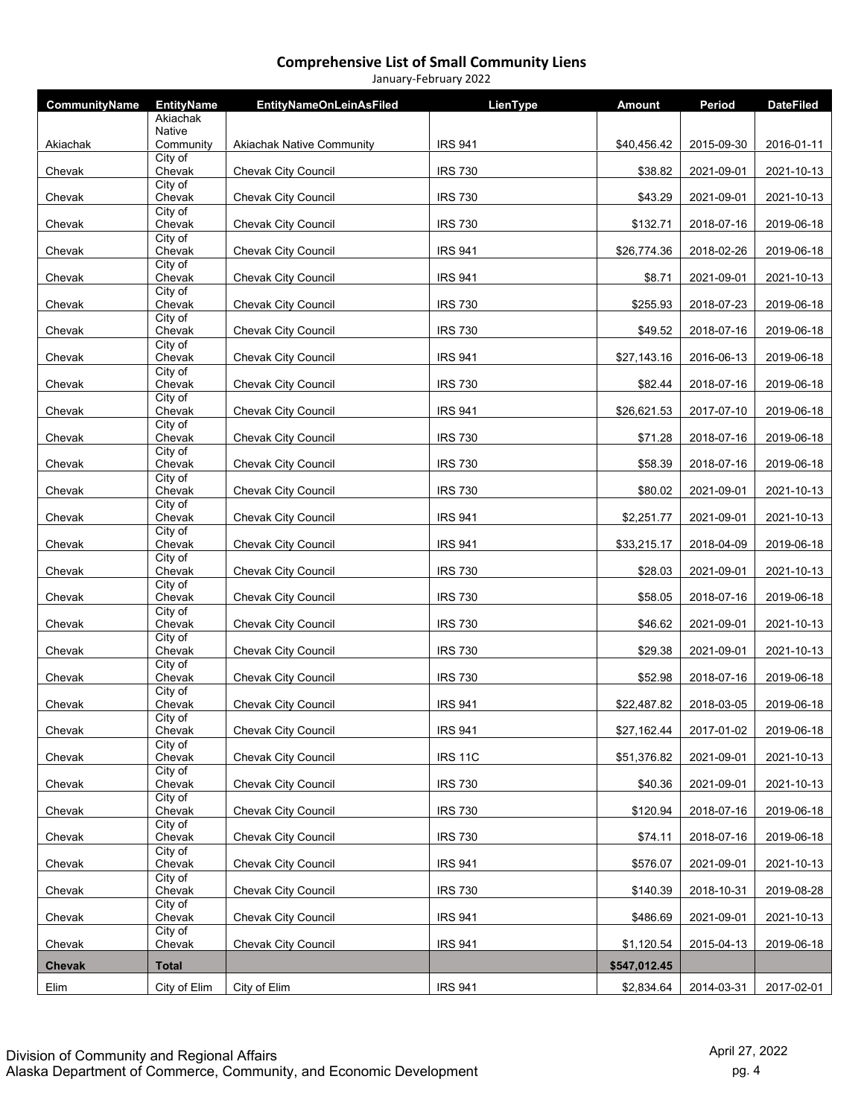| CommunityName | <b>EntityName</b>              | <b>EntityNameOnLeinAsFiled</b>   | LienType       | <b>Amount</b> | Period     | <b>DateFiled</b> |
|---------------|--------------------------------|----------------------------------|----------------|---------------|------------|------------------|
|               | Akiachak<br><b>Native</b>      |                                  |                |               |            |                  |
| Akiachak      | Community                      | <b>Akiachak Native Community</b> | <b>IRS 941</b> | \$40,456.42   | 2015-09-30 | 2016-01-11       |
| Chevak        | City of<br>Chevak              | Chevak City Council              | <b>IRS 730</b> | \$38.82       | 2021-09-01 | 2021-10-13       |
| Chevak        | City of<br>Chevak              | Chevak City Council              | <b>IRS 730</b> | \$43.29       | 2021-09-01 | 2021-10-13       |
| Chevak        | City of<br>Chevak              | Chevak City Council              | <b>IRS 730</b> | \$132.71      | 2018-07-16 | 2019-06-18       |
| Chevak        | City of<br>Chevak              | Chevak City Council              | <b>IRS 941</b> | \$26,774.36   | 2018-02-26 | 2019-06-18       |
| Chevak        | City of<br>Chevak              | Chevak City Council              | <b>IRS 941</b> | \$8.71        | 2021-09-01 | 2021-10-13       |
| Chevak        | City of<br>Chevak              | Chevak City Council              | <b>IRS 730</b> | \$255.93      | 2018-07-23 | 2019-06-18       |
| Chevak        | City of<br>Chevak              | Chevak City Council              | <b>IRS 730</b> | \$49.52       | 2018-07-16 | 2019-06-18       |
| Chevak        | City of<br>Chevak              | Chevak City Council              | <b>IRS 941</b> | \$27,143.16   | 2016-06-13 | 2019-06-18       |
| Chevak        | City of<br>Chevak              | Chevak City Council              | <b>IRS 730</b> | \$82.44       | 2018-07-16 | 2019-06-18       |
| Chevak        | City of<br>Chevak              | Chevak City Council              | <b>IRS 941</b> | \$26,621.53   | 2017-07-10 | 2019-06-18       |
| Chevak        | City of<br>Chevak              | Chevak City Council              | <b>IRS 730</b> | \$71.28       | 2018-07-16 | 2019-06-18       |
| Chevak        | City of<br>Chevak              | Chevak City Council              | <b>IRS 730</b> | \$58.39       | 2018-07-16 | 2019-06-18       |
| Chevak        | City of<br>Chevak              | Chevak City Council              | <b>IRS 730</b> | \$80.02       | 2021-09-01 | 2021-10-13       |
|               | City of                        |                                  |                | \$2,251.77    |            |                  |
| Chevak        | Chevak<br>City of              | <b>Chevak City Council</b>       | <b>IRS 941</b> |               | 2021-09-01 | 2021-10-13       |
| Chevak        | Chevak<br>City of              | Chevak City Council              | <b>IRS 941</b> | \$33,215.17   | 2018-04-09 | 2019-06-18       |
| Chevak        | Chevak<br>City of              | Chevak City Council              | <b>IRS 730</b> | \$28.03       | 2021-09-01 | 2021-10-13       |
| Chevak        | Chevak<br>City of              | Chevak City Council              | <b>IRS 730</b> | \$58.05       | 2018-07-16 | 2019-06-18       |
| Chevak        | Chevak<br>City of              | Chevak City Council              | <b>IRS 730</b> | \$46.62       | 2021-09-01 | 2021-10-13       |
| Chevak        | Chevak<br>City of              | Chevak City Council              | <b>IRS 730</b> | \$29.38       | 2021-09-01 | 2021-10-13       |
| Chevak        | Chevak<br>City of              | <b>Chevak City Council</b>       | <b>IRS 730</b> | \$52.98       | 2018-07-16 | 2019-06-18       |
| Chevak        | Chevak                         | <b>Chevak City Council</b>       | <b>IRS 941</b> | \$22,487.82   | 2018-03-05 | 2019-06-18       |
| Chevak        | City of<br>Chevak              | Chevak City Council              | <b>IRS 941</b> | \$27,162.44   | 2017-01-02 | 2019-06-18       |
| Chevak        | City of<br>Chevak              | Chevak City Council              | <b>IRS 11C</b> | \$51,376.82   | 2021-09-01 | 2021-10-13       |
| Chevak        | City of<br>Chevak              | Chevak City Council              | <b>IRS 730</b> | \$40.36       | 2021-09-01 | 2021-10-13       |
| Chevak        | City of<br>Chevak              | <b>Chevak City Council</b>       | <b>IRS 730</b> | \$120.94      | 2018-07-16 | 2019-06-18       |
| Chevak        | City of<br>Chevak              | <b>Chevak City Council</b>       | <b>IRS 730</b> | \$74.11       | 2018-07-16 | 2019-06-18       |
| Chevak        | City of<br>Chevak              | <b>Chevak City Council</b>       | <b>IRS 941</b> | \$576.07      | 2021-09-01 | 2021-10-13       |
| Chevak        | City of<br>Chevak              | <b>Chevak City Council</b>       | <b>IRS 730</b> | \$140.39      | 2018-10-31 | 2019-08-28       |
| Chevak        | City of<br>Chevak              | Chevak City Council              | <b>IRS 941</b> | \$486.69      | 2021-09-01 | 2021-10-13       |
| Chevak        | $\overline{City}$ of<br>Chevak | Chevak City Council              | <b>IRS 941</b> | \$1,120.54    | 2015-04-13 | 2019-06-18       |
| <b>Chevak</b> | <b>Total</b>                   |                                  |                | \$547,012.45  |            |                  |
| Elim          | City of Elim                   | City of Elim                     | <b>IRS 941</b> | \$2,834.64    | 2014-03-31 | 2017-02-01       |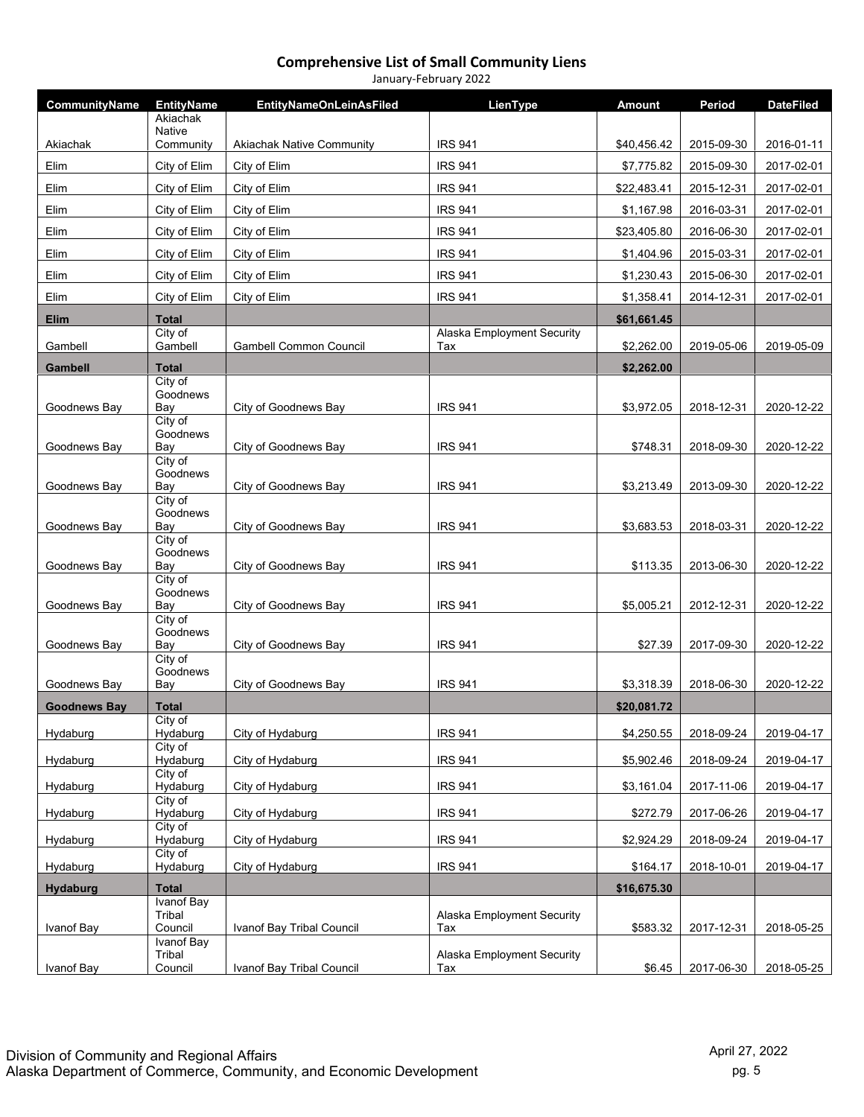| CommunityName       | <b>EntityName</b>            | <b>EntityNameOnLeinAsFiled</b>   | LienType                   | <b>Amount</b> | Period     | <b>DateFiled</b> |
|---------------------|------------------------------|----------------------------------|----------------------------|---------------|------------|------------------|
|                     | Akiachak                     |                                  |                            |               |            |                  |
| Akiachak            | <b>Native</b><br>Community   | <b>Akiachak Native Community</b> | <b>IRS 941</b>             | \$40,456.42   | 2015-09-30 | 2016-01-11       |
| Elim                | City of Elim                 | City of Elim                     | <b>IRS 941</b>             | \$7,775.82    | 2015-09-30 | 2017-02-01       |
| Elim                | City of Elim                 | City of Elim                     | <b>IRS 941</b>             | \$22,483.41   | 2015-12-31 | 2017-02-01       |
| Elim                | City of Elim                 | City of Elim                     | <b>IRS 941</b>             | \$1,167.98    | 2016-03-31 | 2017-02-01       |
| Elim                | City of Elim                 | City of Elim                     | <b>IRS 941</b>             | \$23,405.80   | 2016-06-30 | 2017-02-01       |
| Elim                | City of Elim                 | City of Elim                     | <b>IRS 941</b>             | \$1,404.96    | 2015-03-31 | 2017-02-01       |
| Elim                | City of Elim                 | City of Elim                     | <b>IRS 941</b>             | \$1,230.43    | 2015-06-30 | 2017-02-01       |
| Elim                | City of Elim                 | City of Elim                     | <b>IRS 941</b>             | \$1,358.41    | 2014-12-31 | 2017-02-01       |
|                     |                              |                                  |                            |               |            |                  |
| Elim                | <b>Total</b><br>City of      |                                  | Alaska Employment Security | \$61,661.45   |            |                  |
| Gambell             | Gambell                      | Gambell Common Council           | Tax                        | \$2,262.00    | 2019-05-06 | 2019-05-09       |
| <b>Gambell</b>      | <b>Total</b>                 |                                  |                            | \$2,262.00    |            |                  |
|                     | City of<br>Goodnews          |                                  |                            |               |            |                  |
| Goodnews Bay        | Bay                          | City of Goodnews Bay             | <b>IRS 941</b>             | \$3,972.05    | 2018-12-31 | 2020-12-22       |
|                     | City of<br>Goodnews          |                                  |                            |               |            |                  |
| Goodnews Bay        | Bay<br>City of               | City of Goodnews Bay             | <b>IRS 941</b>             | \$748.31      | 2018-09-30 | 2020-12-22       |
|                     | Goodnews                     |                                  |                            |               |            |                  |
| Goodnews Bay        | Bay<br>City of               | City of Goodnews Bay             | <b>IRS 941</b>             | \$3,213.49    | 2013-09-30 | 2020-12-22       |
|                     | Goodnews                     |                                  |                            |               |            |                  |
| Goodnews Bay        | Bay<br>City of               | City of Goodnews Bay             | <b>IRS 941</b>             | \$3,683.53    | 2018-03-31 | 2020-12-22       |
|                     | Goodnews                     |                                  |                            |               |            |                  |
| Goodnews Bay        | Bay<br>City of               | City of Goodnews Bay             | <b>IRS 941</b>             | \$113.35      | 2013-06-30 | 2020-12-22       |
|                     | Goodnews                     |                                  |                            |               |            |                  |
| Goodnews Bay        | Bay<br>City of               | City of Goodnews Bay             | <b>IRS 941</b>             | \$5,005.21    | 2012-12-31 | 2020-12-22       |
|                     | Goodnews                     | City of Goodnews Bay             | <b>IRS 941</b>             |               | 2017-09-30 |                  |
| Goodnews Bay        | Bay<br>City of               |                                  |                            | \$27.39       |            | 2020-12-22       |
| Goodnews Bay        | Goodnews<br>Bay              | City of Goodnews Bay             | <b>IRS 941</b>             | \$3,318.39    | 2018-06-30 | 2020-12-22       |
| <b>Goodnews Bay</b> | Total                        |                                  |                            | \$20,081.72   |            |                  |
|                     | City of                      |                                  |                            |               |            |                  |
| Hydaburg            | Hydaburg<br>City of          | City of Hydaburg                 | <b>IRS 941</b>             | \$4,250.55    | 2018-09-24 | 2019-04-17       |
| Hydaburg            | Hydaburg                     | City of Hydaburg                 | <b>IRS 941</b>             | \$5,902.46    | 2018-09-24 | 2019-04-17       |
| Hydaburg            | City of<br>Hydaburg          | City of Hydaburg                 | <b>IRS 941</b>             | \$3,161.04    | 2017-11-06 | 2019-04-17       |
| Hydaburg            | City of<br>Hydaburg          | City of Hydaburg                 | <b>IRS 941</b>             | \$272.79      | 2017-06-26 | 2019-04-17       |
|                     | City of                      |                                  |                            |               |            |                  |
| Hydaburg            | Hydaburg<br>City of          | City of Hydaburg                 | <b>IRS 941</b>             | \$2,924.29    | 2018-09-24 | 2019-04-17       |
| Hydaburg            | Hydaburg                     | City of Hydaburg                 | <b>IRS 941</b>             | \$164.17      | 2018-10-01 | 2019-04-17       |
| Hydaburg            | <b>Total</b><br>Ivanof Bay   |                                  |                            | \$16,675.30   |            |                  |
|                     | Tribal                       |                                  | Alaska Employment Security |               |            |                  |
| Ivanof Bay          | Council<br><b>Ivanof Bay</b> | Ivanof Bay Tribal Council        | Tax                        | \$583.32      | 2017-12-31 | 2018-05-25       |
|                     | Tribal                       |                                  | Alaska Employment Security |               |            |                  |
| Ivanof Bay          | Council                      | Ivanof Bay Tribal Council        | Tax                        | \$6.45        | 2017-06-30 | 2018-05-25       |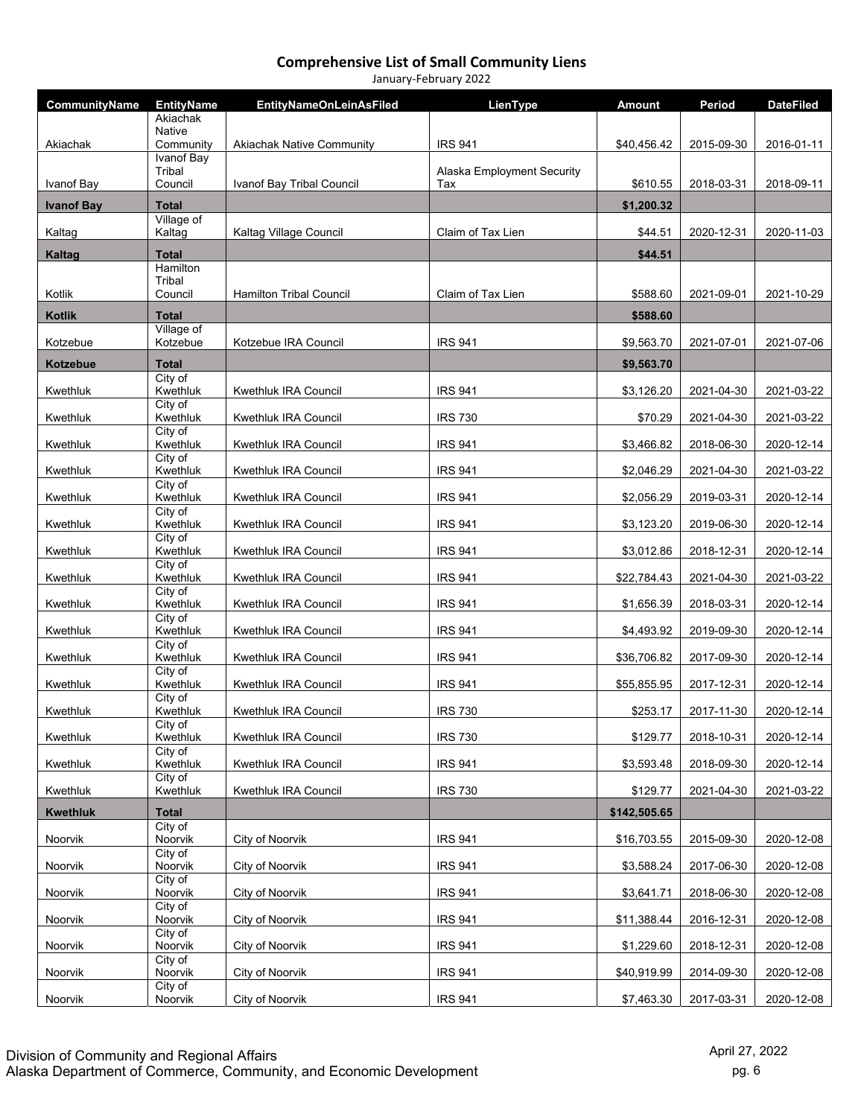| CommunityName     | <b>EntityName</b>                    | <b>EntityNameOnLeinAsFiled</b>   | LienType                   | Amount       | Period     | <b>DateFiled</b> |
|-------------------|--------------------------------------|----------------------------------|----------------------------|--------------|------------|------------------|
|                   | Akiachak<br>Native                   |                                  |                            |              |            |                  |
| Akiachak          | Community                            | <b>Akiachak Native Community</b> | <b>IRS 941</b>             | \$40,456.42  | 2015-09-30 | 2016-01-11       |
|                   | Ivanof Bay<br>Tribal                 |                                  | Alaska Employment Security |              |            |                  |
| Ivanof Bay        | Council                              | Ivanof Bay Tribal Council        | Tax                        | \$610.55     | 2018-03-31 | 2018-09-11       |
| <b>Ivanof Bay</b> | <b>Total</b><br>Village of           |                                  |                            | \$1,200.32   |            |                  |
| Kaltag            | Kaltag                               | Kaltag Village Council           | Claim of Tax Lien          | \$44.51      | 2020-12-31 | 2020-11-03       |
| <b>Kaltag</b>     | <b>Total</b><br>Hamilton             |                                  |                            | \$44.51      |            |                  |
|                   | Tribal                               |                                  |                            |              |            |                  |
| Kotlik            | Council                              | <b>Hamilton Tribal Council</b>   | Claim of Tax Lien          | \$588.60     | 2021-09-01 | 2021-10-29       |
| <b>Kotlik</b>     | <b>Total</b><br>Village of           |                                  |                            | \$588.60     |            |                  |
| Kotzebue          | Kotzebue                             | Kotzebue IRA Council             | <b>IRS 941</b>             | \$9,563.70   | 2021-07-01 | 2021-07-06       |
| <b>Kotzebue</b>   | <b>Total</b><br>$\overline{City}$ of |                                  |                            | \$9,563.70   |            |                  |
| Kwethluk          | Kwethluk                             | Kwethluk IRA Council             | <b>IRS 941</b>             | \$3,126.20   | 2021-04-30 | 2021-03-22       |
| Kwethluk          | City of<br>Kwethluk                  | Kwethluk IRA Council             | <b>IRS 730</b>             | \$70.29      | 2021-04-30 | 2021-03-22       |
| Kwethluk          | City of<br>Kwethluk                  | Kwethluk IRA Council             | <b>IRS 941</b>             | \$3,466.82   | 2018-06-30 | 2020-12-14       |
| Kwethluk          | City of<br>Kwethluk                  | Kwethluk IRA Council             | <b>IRS 941</b>             | \$2,046.29   | 2021-04-30 | 2021-03-22       |
| Kwethluk          | City of<br>Kwethluk                  | Kwethluk IRA Council             | <b>IRS 941</b>             | \$2,056.29   | 2019-03-31 | 2020-12-14       |
| Kwethluk          | City of<br>Kwethluk                  | Kwethluk IRA Council             | <b>IRS 941</b>             | \$3,123.20   | 2019-06-30 | 2020-12-14       |
| Kwethluk          | City of<br>Kwethluk                  | Kwethluk IRA Council             | <b>IRS 941</b>             | \$3,012.86   | 2018-12-31 | 2020-12-14       |
| Kwethluk          | City of<br>Kwethluk                  | Kwethluk IRA Council             | <b>IRS 941</b>             | \$22,784.43  | 2021-04-30 | 2021-03-22       |
| Kwethluk          | City of<br>Kwethluk                  | Kwethluk IRA Council             | <b>IRS 941</b>             | \$1,656.39   | 2018-03-31 | 2020-12-14       |
| Kwethluk          | City of<br>Kwethluk                  | Kwethluk IRA Council             | <b>IRS 941</b>             | \$4,493.92   | 2019-09-30 | 2020-12-14       |
| Kwethluk          | City of<br>Kwethluk                  | Kwethluk IRA Council             | <b>IRS 941</b>             | \$36,706.82  | 2017-09-30 | 2020-12-14       |
| Kwethluk          | City of<br>Kwethluk                  | Kwethluk IRA Council             | <b>IRS 941</b>             | \$55,855.95  | 2017-12-31 | 2020-12-14       |
| Kwethluk          | City of<br>Kwethluk                  | Kwethluk IRA Council             | <b>IRS 730</b>             | \$253.17     | 2017-11-30 | 2020-12-14       |
| Kwethluk          | City of<br>Kwethluk                  | Kwethluk IRA Council             | <b>IRS 730</b>             | \$129.77     | 2018-10-31 | 2020-12-14       |
| Kwethluk          | City of<br>Kwethluk                  | Kwethluk IRA Council             | <b>IRS 941</b>             | \$3,593.48   | 2018-09-30 | 2020-12-14       |
| Kwethluk          | City of<br>Kwethluk                  | Kwethluk IRA Council             | <b>IRS 730</b>             | \$129.77     | 2021-04-30 | 2021-03-22       |
| <b>Kwethluk</b>   | <b>Total</b>                         |                                  |                            | \$142,505.65 |            |                  |
| Noorvik           | City of<br>Noorvik                   | City of Noorvik                  | <b>IRS 941</b>             | \$16,703.55  | 2015-09-30 | 2020-12-08       |
| Noorvik           | City of<br>Noorvik                   | City of Noorvik                  | <b>IRS 941</b>             | \$3,588.24   | 2017-06-30 | 2020-12-08       |
| Noorvik           | City of<br>Noorvik                   | City of Noorvik                  | <b>IRS 941</b>             | \$3,641.71   | 2018-06-30 | 2020-12-08       |
| Noorvik           | City of<br>Noorvik                   | City of Noorvik                  | <b>IRS 941</b>             | \$11,388.44  | 2016-12-31 | 2020-12-08       |
| Noorvik           | City of<br>Noorvik                   | City of Noorvik                  | <b>IRS 941</b>             | \$1,229.60   | 2018-12-31 | 2020-12-08       |
| Noorvik           | City of<br>Noorvik                   | City of Noorvik                  | <b>IRS 941</b>             | \$40,919.99  | 2014-09-30 | 2020-12-08       |
| Noorvik           | City of<br>Noorvik                   | City of Noorvik                  | <b>IRS 941</b>             | \$7,463.30   | 2017-03-31 | 2020-12-08       |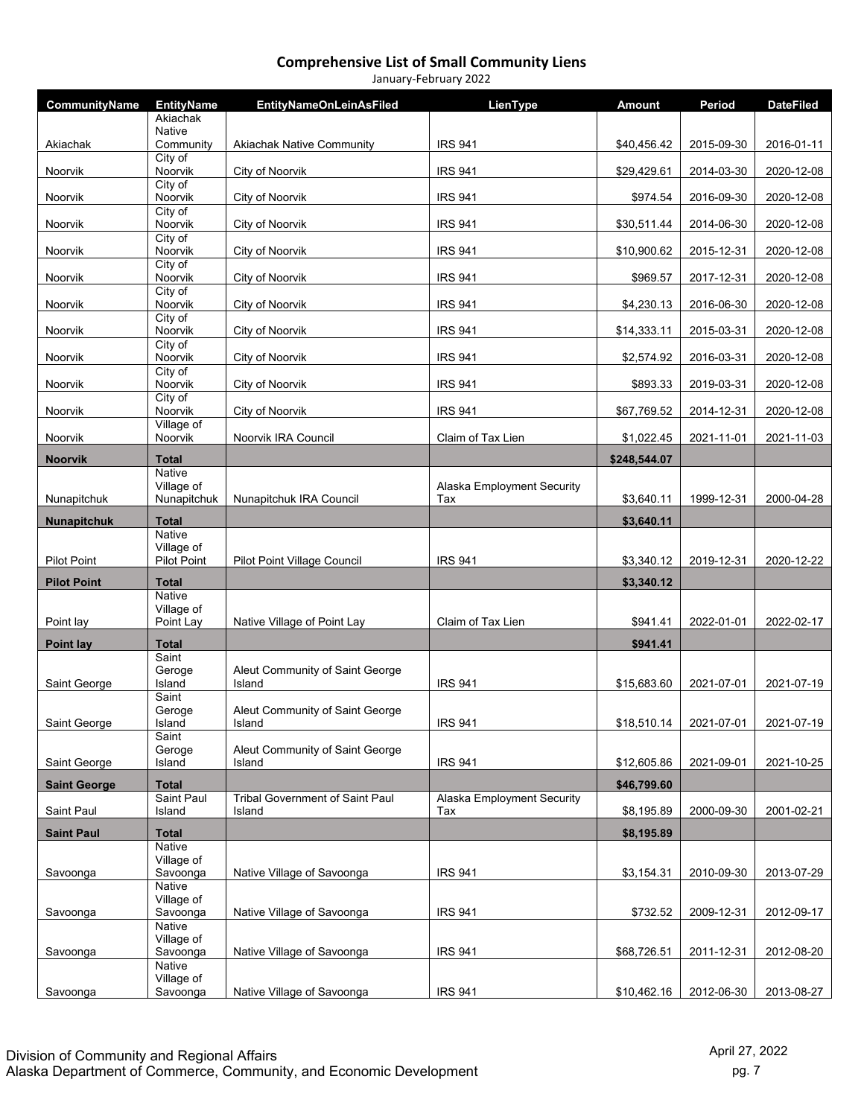| CommunityName       | <b>EntityName</b>           | <b>EntityNameOnLeinAsFiled</b>            | LienType                          | <b>Amount</b> | Period     | <b>DateFiled</b> |
|---------------------|-----------------------------|-------------------------------------------|-----------------------------------|---------------|------------|------------------|
|                     | Akiachak                    |                                           |                                   |               |            |                  |
| Akiachak            | <b>Native</b><br>Community  | <b>Akiachak Native Community</b>          | <b>IRS 941</b>                    | \$40,456.42   | 2015-09-30 | 2016-01-11       |
| Noorvik             | City of<br>Noorvik          | City of Noorvik                           | <b>IRS 941</b>                    | \$29,429.61   | 2014-03-30 | 2020-12-08       |
|                     | City of                     |                                           |                                   |               |            |                  |
| Noorvik             | Noorvik<br>City of          | City of Noorvik                           | <b>IRS 941</b>                    | \$974.54      | 2016-09-30 | 2020-12-08       |
| Noorvik             | Noorvik<br>City of          | City of Noorvik                           | <b>IRS 941</b>                    | \$30,511.44   | 2014-06-30 | 2020-12-08       |
| Noorvik             | Noorvik                     | City of Noorvik                           | <b>IRS 941</b>                    | \$10,900.62   | 2015-12-31 | 2020-12-08       |
| Noorvik             | City of<br>Noorvik          | City of Noorvik                           | <b>IRS 941</b>                    | \$969.57      | 2017-12-31 | 2020-12-08       |
| Noorvik             | City of<br>Noorvik          | City of Noorvik                           | <b>IRS 941</b>                    | \$4,230.13    | 2016-06-30 | 2020-12-08       |
| Noorvik             | City of<br>Noorvik          | City of Noorvik                           | <b>IRS 941</b>                    | \$14,333.11   | 2015-03-31 | 2020-12-08       |
| Noorvik             | City of<br>Noorvik          | City of Noorvik                           | <b>IRS 941</b>                    | \$2,574.92    | 2016-03-31 | 2020-12-08       |
| Noorvik             | City of<br>Noorvik          | City of Noorvik                           | <b>IRS 941</b>                    | \$893.33      | 2019-03-31 | 2020-12-08       |
| Noorvik             | City of<br>Noorvik          | City of Noorvik                           | <b>IRS 941</b>                    | \$67,769.52   | 2014-12-31 | 2020-12-08       |
| Noorvik             | Village of<br>Noorvik       | Noorvik IRA Council                       | Claim of Tax Lien                 | \$1,022.45    | 2021-11-01 | 2021-11-03       |
| <b>Noorvik</b>      | <b>Total</b>                |                                           |                                   | \$248,544.07  |            |                  |
|                     | <b>Native</b>               |                                           |                                   |               |            |                  |
| Nunapitchuk         | Village of<br>Nunapitchuk   | Nunapitchuk IRA Council                   | Alaska Employment Security<br>Tax | \$3,640.11    | 1999-12-31 | 2000-04-28       |
| <b>Nunapitchuk</b>  | <b>Total</b>                |                                           |                                   | \$3,640.11    |            |                  |
|                     | <b>Native</b><br>Village of |                                           |                                   |               |            |                  |
| <b>Pilot Point</b>  | <b>Pilot Point</b>          | Pilot Point Village Council               | <b>IRS 941</b>                    | \$3,340.12    | 2019-12-31 | 2020-12-22       |
| <b>Pilot Point</b>  | <b>Total</b>                |                                           |                                   | \$3,340.12    |            |                  |
|                     | <b>Native</b><br>Village of |                                           |                                   |               |            |                  |
| Point lay           | Point Lay                   | Native Village of Point Lay               | Claim of Tax Lien                 | \$941.41      | 2022-01-01 | 2022-02-17       |
| <b>Point lay</b>    | <b>Total</b>                |                                           |                                   | \$941.41      |            |                  |
|                     | Saint<br>Geroge             | Aleut Community of Saint George           |                                   |               |            |                  |
| Saint George        | Island                      | Island                                    | <b>IRS 941</b>                    | \$15,683.60   | 2021-07-01 | 2021-07-19       |
|                     | Saint<br>Geroge             | Aleut Community of Saint George           |                                   |               |            |                  |
| Saint George        | Island<br>Saint             | Island                                    | <b>IRS 941</b>                    | \$18,510.14   | 2021-07-01 | 2021-07-19       |
|                     | Geroge                      | Aleut Community of Saint George           |                                   |               |            |                  |
| Saint George        | Island                      | Island                                    | <b>IRS 941</b>                    | \$12,605.86   | 2021-09-01 | 2021-10-25       |
| <b>Saint George</b> | <b>Total</b><br>Saint Paul  |                                           | Alaska Employment Security        | \$46,799.60   |            |                  |
| Saint Paul          | Island                      | Tribal Government of Saint Paul<br>Island | Tax                               | \$8,195.89    | 2000-09-30 | 2001-02-21       |
| <b>Saint Paul</b>   | <b>Total</b>                |                                           |                                   | \$8,195.89    |            |                  |
|                     | Native<br>Village of        |                                           |                                   |               |            |                  |
| Savoonga            | Savoonga                    | Native Village of Savoonga                | <b>IRS 941</b>                    | \$3,154.31    | 2010-09-30 | 2013-07-29       |
|                     | Native<br>Village of        |                                           |                                   |               |            |                  |
| Savoonga            | Savoonga                    | Native Village of Savoonga                | <b>IRS 941</b>                    | \$732.52      | 2009-12-31 | 2012-09-17       |
|                     | Native<br>Village of        |                                           |                                   |               |            |                  |
| Savoonga            | Savoonga                    | Native Village of Savoonga                | <b>IRS 941</b>                    | \$68,726.51   | 2011-12-31 | 2012-08-20       |
|                     | Native<br>Village of        |                                           |                                   |               |            |                  |
| Savoonga            | Savoonga                    | Native Village of Savoonga                | <b>IRS 941</b>                    | \$10,462.16   | 2012-06-30 | 2013-08-27       |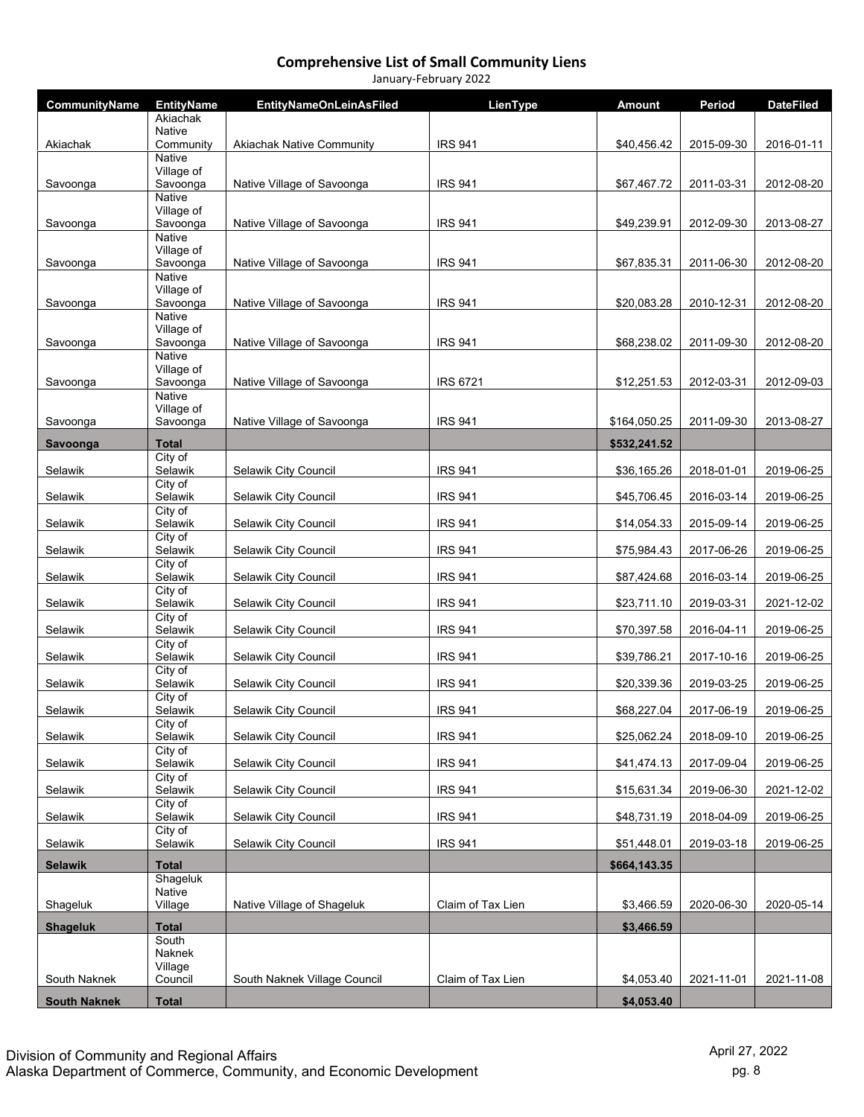| CommunityName       | <b>EntityName</b>           | <b>EntityNameOnLeinAsFiled</b>   | LienType          | Amount       | Period     | <b>DateFiled</b> |
|---------------------|-----------------------------|----------------------------------|-------------------|--------------|------------|------------------|
|                     | Akiachak<br><b>Native</b>   |                                  |                   |              |            |                  |
| Akiachak            | Community                   | <b>Akiachak Native Community</b> | <b>IRS 941</b>    | \$40,456.42  | 2015-09-30 | 2016-01-11       |
|                     | <b>Native</b><br>Village of |                                  |                   |              |            |                  |
| Savoonga            | Savoonga                    | Native Village of Savoonga       | <b>IRS 941</b>    | \$67,467.72  | 2011-03-31 | 2012-08-20       |
|                     | <b>Native</b><br>Village of |                                  |                   |              |            |                  |
| Savoonga            | Savoonga                    | Native Village of Savoonga       | <b>IRS 941</b>    | \$49,239.91  | 2012-09-30 | 2013-08-27       |
|                     | <b>Native</b><br>Village of |                                  |                   |              |            |                  |
| Savoonga            | Savoonga                    | Native Village of Savoonga       | <b>IRS 941</b>    | \$67,835.31  | 2011-06-30 | 2012-08-20       |
|                     | Native<br>Village of        |                                  |                   |              |            |                  |
| Savoonga            | Savoonga                    | Native Village of Savoonga       | <b>IRS 941</b>    | \$20,083.28  | 2010-12-31 | 2012-08-20       |
|                     | Native<br>Village of        |                                  |                   |              |            |                  |
| Savoonga            | Savoonga                    | Native Village of Savoonga       | <b>IRS 941</b>    | \$68,238.02  | 2011-09-30 | 2012-08-20       |
|                     | <b>Native</b><br>Village of |                                  |                   |              |            |                  |
| Savoonga            | Savoonga                    | Native Village of Savoonga       | <b>IRS 6721</b>   | \$12,251.53  | 2012-03-31 | 2012-09-03       |
|                     | <b>Native</b><br>Village of |                                  |                   |              |            |                  |
| Savoonga            | Savoonga                    | Native Village of Savoonga       | <b>IRS 941</b>    | \$164,050.25 | 2011-09-30 | 2013-08-27       |
| Savoonga            | Total                       |                                  |                   | \$532,241.52 |            |                  |
| Selawik             | City of<br>Selawik          | Selawik City Council             | <b>IRS 941</b>    | \$36,165.26  | 2018-01-01 | 2019-06-25       |
|                     | City of                     |                                  |                   |              | 2016-03-14 | 2019-06-25       |
| Selawik             | Selawik<br>City of          | Selawik City Council             | <b>IRS 941</b>    | \$45,706.45  |            |                  |
| Selawik             | Selawik<br>City of          | Selawik City Council             | <b>IRS 941</b>    | \$14,054.33  | 2015-09-14 | 2019-06-25       |
| Selawik             | Selawik                     | Selawik City Council             | <b>IRS 941</b>    | \$75,984.43  | 2017-06-26 | 2019-06-25       |
| Selawik             | City of<br>Selawik          | Selawik City Council             | <b>IRS 941</b>    | \$87,424.68  | 2016-03-14 | 2019-06-25       |
| Selawik             | City of<br>Selawik          | Selawik City Council             | <b>IRS 941</b>    | \$23,711.10  | 2019-03-31 | 2021-12-02       |
| Selawik             | City of<br>Selawik          | Selawik City Council             | <b>IRS 941</b>    | \$70,397.58  | 2016-04-11 | 2019-06-25       |
| Selawik             | City of<br>Selawik          | Selawik City Council             | <b>IRS 941</b>    | \$39,786.21  | 2017-10-16 | 2019-06-25       |
| Selawik             | City of<br>Selawik          | Selawik City Council             | <b>IRS 941</b>    | \$20,339.36  | 2019-03-25 | 2019-06-25       |
| Selawik             | City of<br>Selawik          | Selawik City Council             | <b>IRS 941</b>    | \$68,227.04  | 2017-06-19 | 2019-06-25       |
|                     | City of                     |                                  |                   |              |            |                  |
| Selawik             | Selawik<br>City of          | Selawik City Council             | <b>IRS 941</b>    | \$25,062.24  | 2018-09-10 | 2019-06-25       |
| Selawik             | Selawik                     | Selawik City Council             | <b>IRS 941</b>    | \$41,474.13  | 2017-09-04 | 2019-06-25       |
| Selawik             | City of<br>Selawik          | Selawik City Council             | <b>IRS 941</b>    | \$15,631.34  | 2019-06-30 | 2021-12-02       |
| Selawik             | City of<br>Selawik          | Selawik City Council             | <b>IRS 941</b>    | \$48,731.19  | 2018-04-09 | 2019-06-25       |
| Selawik             | City of<br>Selawik          | Selawik City Council             | <b>IRS 941</b>    | \$51,448.01  | 2019-03-18 | 2019-06-25       |
| <b>Selawik</b>      | <b>Total</b>                |                                  |                   | \$664,143.35 |            |                  |
|                     | Shageluk                    |                                  |                   |              |            |                  |
| Shageluk            | Native<br>Village           | Native Village of Shageluk       | Claim of Tax Lien | \$3,466.59   | 2020-06-30 | 2020-05-14       |
| <b>Shageluk</b>     | <b>Total</b>                |                                  |                   | \$3,466.59   |            |                  |
|                     | South<br>Naknek             |                                  |                   |              |            |                  |
| South Naknek        | Village<br>Council          | South Naknek Village Council     | Claim of Tax Lien | \$4,053.40   | 2021-11-01 | 2021-11-08       |
| <b>South Naknek</b> | <b>Total</b>                |                                  |                   | \$4,053.40   |            |                  |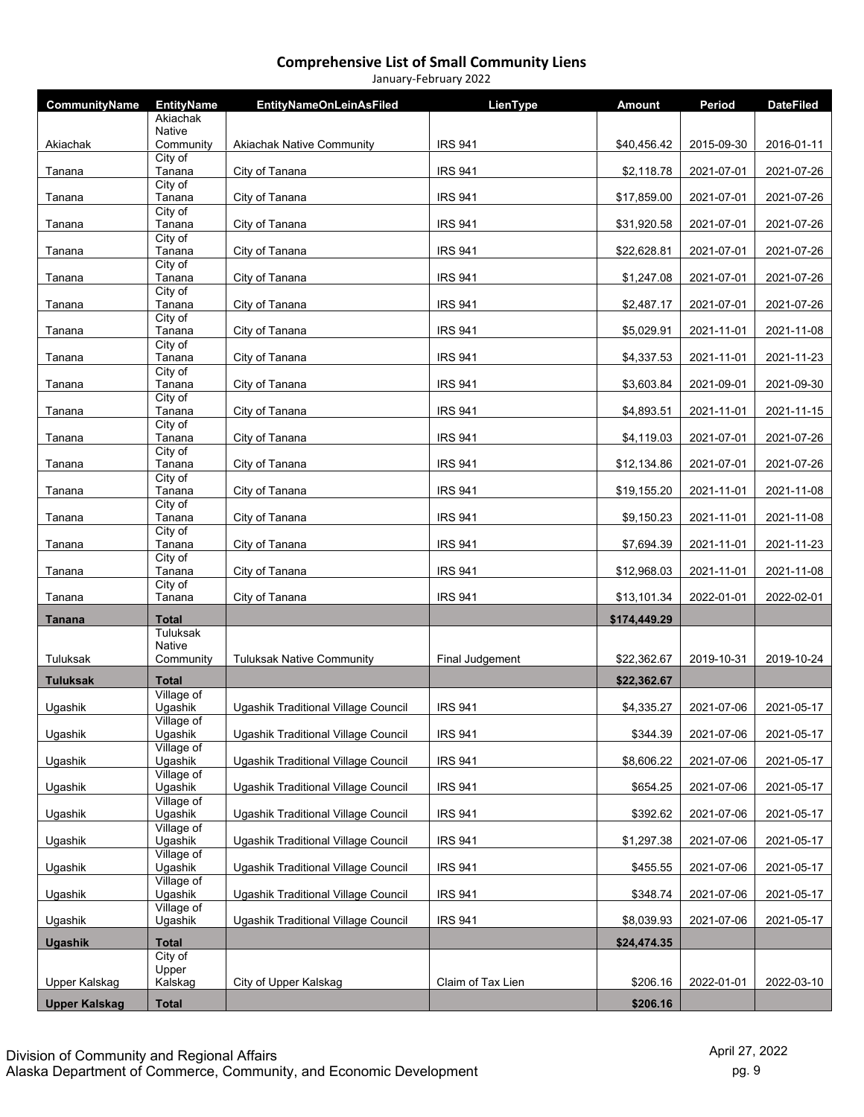| <b>CommunityName</b> | <b>EntityName</b>          | <b>EntityNameOnLeinAsFiled</b>      | LienType          | <b>Amount</b> | Period     | <b>DateFiled</b> |
|----------------------|----------------------------|-------------------------------------|-------------------|---------------|------------|------------------|
|                      | Akiachak<br><b>Native</b>  |                                     |                   |               |            |                  |
| Akiachak             | Community                  | <b>Akiachak Native Community</b>    | <b>IRS 941</b>    | \$40,456.42   | 2015-09-30 | 2016-01-11       |
| Tanana               | City of<br>Tanana          | City of Tanana                      | <b>IRS 941</b>    | \$2,118.78    | 2021-07-01 | 2021-07-26       |
| Tanana               | City of<br>Tanana          | City of Tanana                      | <b>IRS 941</b>    | \$17,859.00   | 2021-07-01 | 2021-07-26       |
| Tanana               | City of<br>Tanana          | City of Tanana                      | <b>IRS 941</b>    | \$31,920.58   | 2021-07-01 | 2021-07-26       |
|                      | City of                    |                                     |                   |               |            |                  |
| Tanana               | Tanana<br>City of          | City of Tanana                      | <b>IRS 941</b>    | \$22,628.81   | 2021-07-01 | 2021-07-26       |
| Tanana               | Tanana<br>City of          | City of Tanana                      | <b>IRS 941</b>    | \$1,247.08    | 2021-07-01 | 2021-07-26       |
| Tanana               | Tanana                     | City of Tanana                      | <b>IRS 941</b>    | \$2,487.17    | 2021-07-01 | 2021-07-26       |
| Tanana               | City of<br>Tanana          | City of Tanana                      | <b>IRS 941</b>    | \$5,029.91    | 2021-11-01 | 2021-11-08       |
| Tanana               | City of<br>Tanana          | City of Tanana                      | <b>IRS 941</b>    | \$4,337.53    | 2021-11-01 | 2021-11-23       |
| Tanana               | City of<br>Tanana          | City of Tanana                      | <b>IRS 941</b>    | \$3,603.84    | 2021-09-01 | 2021-09-30       |
| Tanana               | City of<br>Tanana          | City of Tanana                      | <b>IRS 941</b>    | \$4,893.51    | 2021-11-01 | 2021-11-15       |
| Tanana               | City of<br>Tanana          | City of Tanana                      | <b>IRS 941</b>    | \$4,119.03    | 2021-07-01 | 2021-07-26       |
| Tanana               | City of<br>Tanana          | City of Tanana                      | <b>IRS 941</b>    | \$12,134.86   | 2021-07-01 | 2021-07-26       |
| Tanana               | City of<br>Tanana          | City of Tanana                      | <b>IRS 941</b>    | \$19,155.20   | 2021-11-01 | 2021-11-08       |
|                      | City of                    |                                     |                   |               |            |                  |
| Tanana               | Tanana<br>City of          | City of Tanana                      | <b>IRS 941</b>    | \$9,150.23    | 2021-11-01 | 2021-11-08       |
| Tanana               | Tanana<br>City of          | City of Tanana                      | <b>IRS 941</b>    | \$7,694.39    | 2021-11-01 | 2021-11-23       |
| Tanana               | Tanana<br>City of          | City of Tanana                      | <b>IRS 941</b>    | \$12,968.03   | 2021-11-01 | 2021-11-08       |
| Tanana               | Tanana                     | City of Tanana                      | <b>IRS 941</b>    | \$13,101.34   | 2022-01-01 | 2022-02-01       |
| Tanana               | <b>Total</b>               |                                     |                   | \$174,449.29  |            |                  |
|                      | Tuluksak<br><b>Native</b>  |                                     |                   |               |            |                  |
| Tuluksak             | Community                  | <b>Tuluksak Native Community</b>    | Final Judgement   | \$22,362.67   | 2019-10-31 | 2019-10-24       |
| <b>Tuluksak</b>      | <b>Total</b><br>Village of |                                     |                   | \$22,362.67   |            |                  |
| Ugashik              | Ugashik                    | Ugashik Traditional Village Council | <b>IRS 941</b>    | \$4,335.27    | 2021-07-06 | 2021-05-17       |
| Ugashik              | Village of<br>Ugashik      | Ugashik Traditional Village Council | <b>IRS 941</b>    | \$344.39      | 2021-07-06 | 2021-05-17       |
| Ugashik              | Village of<br>Ugashik      | Ugashik Traditional Village Council | <b>IRS 941</b>    | \$8,606.22    | 2021-07-06 | 2021-05-17       |
| Ugashik              | Village of<br>Ugashik      | Ugashik Traditional Village Council | <b>IRS 941</b>    | \$654.25      | 2021-07-06 | 2021-05-17       |
| Ugashik              | Village of<br>Ugashik      | Ugashik Traditional Village Council | <b>IRS 941</b>    | \$392.62      | 2021-07-06 | 2021-05-17       |
| Ugashik              | Village of<br>Ugashik      | Ugashik Traditional Village Council | <b>IRS 941</b>    | \$1,297.38    | 2021-07-06 | 2021-05-17       |
|                      | Village of                 |                                     |                   |               |            |                  |
| Ugashik              | Ugashik<br>Village of      | Ugashik Traditional Village Council | <b>IRS 941</b>    | \$455.55      | 2021-07-06 | 2021-05-17       |
| Ugashik              | Ugashik<br>Village of      | Ugashik Traditional Village Council | <b>IRS 941</b>    | \$348.74      | 2021-07-06 | 2021-05-17       |
| Ugashik              | Ugashik                    | Ugashik Traditional Village Council | <b>IRS 941</b>    | \$8,039.93    | 2021-07-06 | 2021-05-17       |
| Ugashik              | <b>Total</b><br>City of    |                                     |                   | \$24,474.35   |            |                  |
|                      | Upper                      |                                     |                   |               |            |                  |
| Upper Kalskag        | Kalskag                    | City of Upper Kalskag               | Claim of Tax Lien | \$206.16      | 2022-01-01 | 2022-03-10       |
| <b>Upper Kalskag</b> | <b>Total</b>               |                                     |                   | \$206.16      |            |                  |